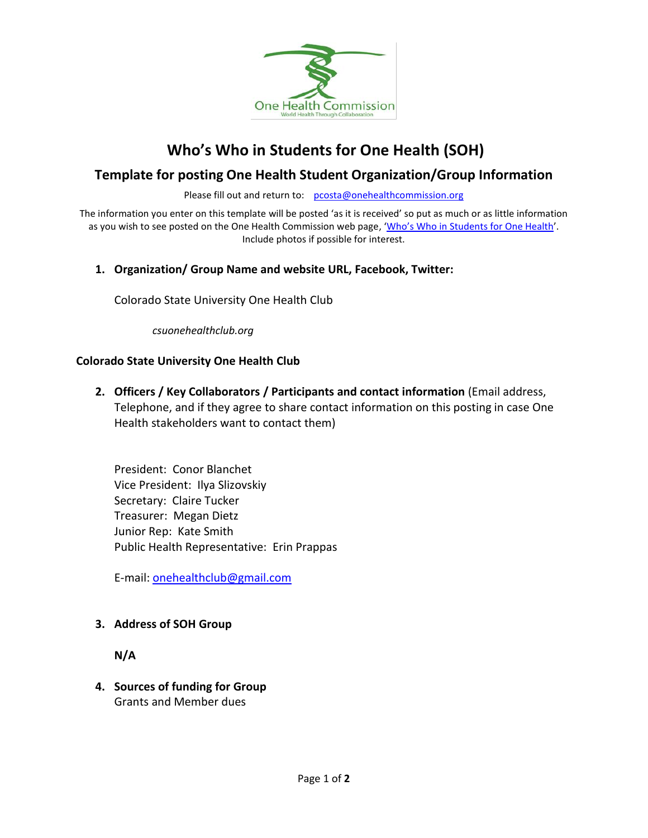

# **Who's Who in Students for One Health (SOH)**

# **Template for posting One Health Student Organization/Group Information**

Please fill out and return to: [pcosta@onehealthcommission.org](mailto:pcosta@onehealthcommission.org)

The information you enter on this template will be posted 'as it is received' so put as much or as little information as you wish to see posted on the One Health Commission web page, 'Who's Who in [Students for](https://www.onehealthcommission.org/en/one_health_news/student_news/whos_who_in_soh/) One Health'. Include photos if possible for interest.

# **1. Organization/ Group Name and website URL, Facebook, Twitter:**

Colorado State University One Health Club

*csuonehealthclub.org*

#### **Colorado State University One Health Club**

**2. Officers / Key Collaborators / Participants and contact information** (Email address, Telephone, and if they agree to share contact information on this posting in case One Health stakeholders want to contact them)

President: Conor Blanchet Vice President: Ilya Slizovskiy Secretary: Claire Tucker Treasurer: Megan Dietz Junior Rep: Kate Smith Public Health Representative: Erin Prappas

E-mail: [onehealthclub@gmail.com](mailto:onehealthclub@gmail.com)

#### **3. Address of SOH Group**

**N/A**

**4. Sources of funding for Group** Grants and Member dues